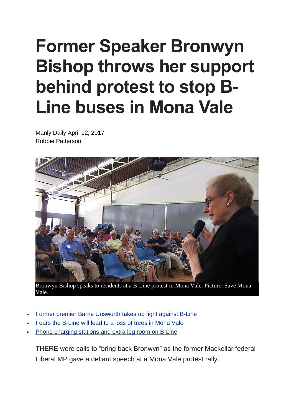## **Former Speaker Bronwyn Bishop throws her support behind protest to stop B-Line buses in Mona Vale**

Manly Daily April 12, 2017 Robbie Patterson



Bronwyn Bishop speaks to residents at a B-Line protest in Mona Vale. Picture: Save Mona Vale.

- Former premier Barrie [Unsworth](http://www.dailytelegraph.com.au/newslocal/manly-daily/expremier-barrie-unsworth-the-bline-is-a-trojan-horse-for-more-development-in-mona-vale/news-story/ccaf6ba9decbe6ea190d2e8f09919eed) takes up fight against B-Line
- Fears the [B-Line](http://www.dailytelegraph.com.au/newslocal/manly-daily/fears-bline-bus-service-will-see-trees-chopped-down-in-mona-vale/news-story/277a5754ee20d2c01ef6cd4988d30827) will lead to a loss of trees in Mona Vale
- Phone [charging](https://www.google.com.au/url?sa=t&rct=j&q=&esrc=s&source=web&cd=2&cad=rja&uact=8&ved=0ahUKEwjYgbm45JvTAhVBObwKHXG3DTAQFggkMAE&url=http%3A%2F%2Fwww.dailytelegraph.com.au%2Fnewslocal%2Fmanly-daily%2Fphone-charging-stations-and-seats-with-more-leg-room-announced-as-part-of-24m-bline-deal%2Fnews-story%2F63ea53c4cff2ff870eb740e4a6593b34&usg=AFQjCNFuzVVKBx6alj7UYPe_NgT1ToaL0g&bvm=bv.152180690,d.dGo) stations and extra leg room on B-Line

THERE were calls to "bring back Bronwyn" as the former Mackellar federal Liberal MP gave a defiant speech at a Mona Vale protest rally.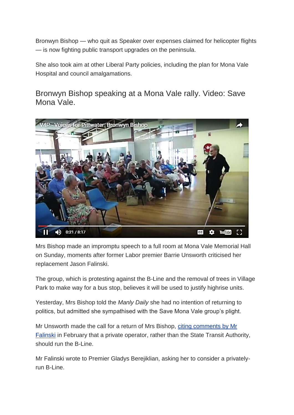Bronwyn Bishop — who quit as Speaker over expenses claimed for helicopter flights — is now fighting public transport upgrades on the peninsula.

She also took aim at other Liberal Party policies, including the plan for Mona Vale Hospital and council amalgamations.

Bronwyn Bishop speaking at a Mona Vale rally. Video: Save Mona Vale.



Mrs Bishop made an impromptu speech to a full room at Mona Vale Memorial Hall on Sunday, moments after former Labor premier Barrie Unsworth criticised her replacement Jason Falinski.

The group, which is protesting against the B-Line and the removal of trees in Village Park to make way for a bus stop, believes it will be used to justify highrise units.

Yesterday, Mrs Bishop told the *Manly Daily* she had no intention of returning to politics, but admitted she sympathised with the Save Mona Vale group's plight.

Mr Unsworth made the call for a return of Mrs Bishop, citing [comments](http://www.dailytelegraph.com.au/newslocal/manly-daily/federal-mp-urges-premier-to-put-the-500m-express-bus-service-out-to-tender/news-story/e8a553a8b5baac24b2899f9699ff347a) by Mr [Falinski](http://www.dailytelegraph.com.au/newslocal/manly-daily/federal-mp-urges-premier-to-put-the-500m-express-bus-service-out-to-tender/news-story/e8a553a8b5baac24b2899f9699ff347a) in February that a private operator, rather than the State Transit Authority, should run the B-Line.

Mr Falinski wrote to Premier Gladys Berejiklian, asking her to consider a privatelyrun B-Line.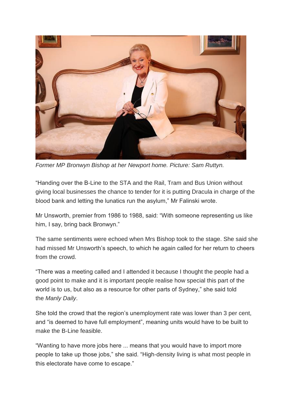

*Former MP Bronwyn Bishop at her Newport home. Picture: Sam Ruttyn.*

"Handing over the B-Line to the STA and the Rail, Tram and Bus Union without giving local businesses the chance to tender for it is putting Dracula in charge of the blood bank and letting the lunatics run the asylum," Mr Falinski wrote.

Mr Unsworth, premier from 1986 to 1988, said: "With someone representing us like him, I say, bring back Bronwyn."

The same sentiments were echoed when Mrs Bishop took to the stage. She said she had missed Mr Unsworth's speech, to which he again called for her return to cheers from the crowd.

"There was a meeting called and I attended it because I thought the people had a good point to make and it is important people realise how special this part of the world is to us, but also as a resource for other parts of Sydney," she said told the *Manly Daily*.

She told the crowd that the region's unemployment rate was lower than 3 per cent, and "is deemed to have full employment", meaning units would have to be built to make the B-Line feasible.

"Wanting to have more jobs here ... means that you would have to import more people to take up those jobs," she said. "High-density living is what most people in this electorate have come to escape."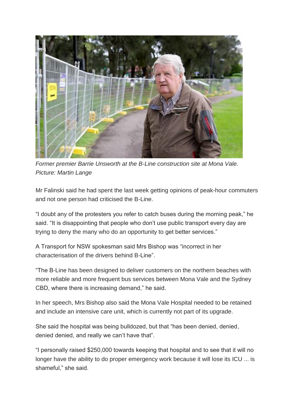

*Former premier Barrie Unsworth at the B-Line construction site at Mona Vale. Picture: Martin Lange*

Mr Falinski said he had spent the last week getting opinions of peak-hour commuters and not one person had criticised the B-Line.

"I doubt any of the protesters you refer to catch buses during the morning peak," he said. "It is disappointing that people who don't use public transport every day are trying to deny the many who do an opportunity to get better services."

A Transport for NSW spokesman said Mrs Bishop was "incorrect in her characterisation of the drivers behind B-Line".

"The B-Line has been designed to deliver customers on the northern beaches with more reliable and more frequent bus services between Mona Vale and the Sydney CBD, where there is increasing demand," he said.

In her speech, Mrs Bishop also said the Mona Vale Hospital needed to be retained and include an intensive care unit, which is currently not part of its upgrade.

She said the hospital was being bulldozed, but that "has been denied, denied, denied denied, and really we can't have that".

"I personally raised \$250,000 towards keeping that hospital and to see that it will no longer have the ability to do proper emergency work because it will lose its ICU ... is shameful," she said.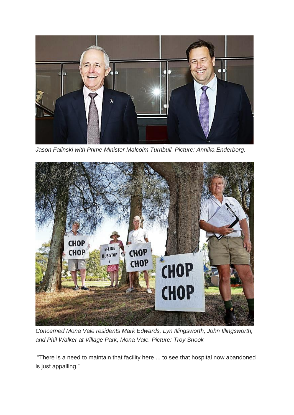

*Jason Falinski with Prime Minister Malcolm Turnbull. Picture: Annika Enderborg.*



*Concerned Mona Vale residents Mark Edwards, Lyn Illingsworth, John Illingsworth, and Phil Walker at Village Park, Mona Vale. Picture: Troy Snook*

"There is a need to maintain that facility here ... to see that hospital now abandoned is just appalling."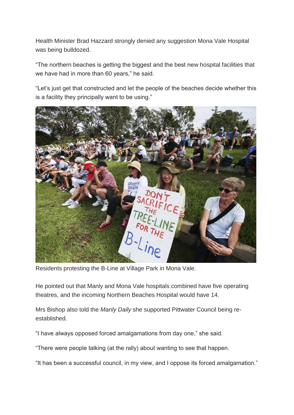Health Minister Brad Hazzard strongly denied any suggestion Mona Vale Hospital was being bulldozed.

"The northern beaches is getting the biggest and the best new hospital facilities that we have had in more than 60 years," he said.

"Let's just get that constructed and let the people of the beaches decide whether this is a facility they principally want to be using."



Residents protesting the B-Line at Village Park in Mona Vale.

He pointed out that Manly and Mona Vale hospitals combined have five operating theatres, and the incoming Northern Beaches Hospital would have 14.

Mrs Bishop also told the *Manly Daily* she supported Pittwater Council being reestablished.

"I have always opposed forced amalgamations from day one," she said.

"There were people talking (at the rally) about wanting to see that happen.

"It has been a successful council, in my view, and I oppose its forced amalgamation."